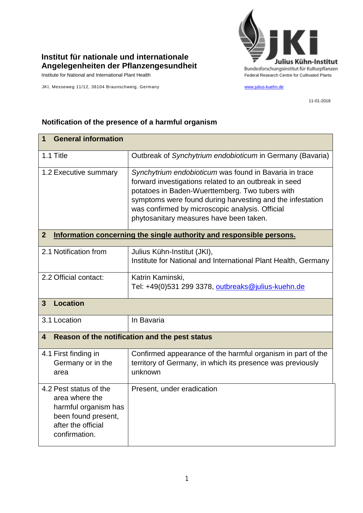## **Institut für nationale und internationale Angelegenheiten der Pflanzengesundheit**

Institute for National and International Plant Health Feature And Theorem Federal Research Centre for Cultivated Plants

JKI, Messeweg 11/12, 38104 Braunschweig, Germany [www.julius-kuehn.de](http://www.julius-kuehn.de/)



11-01-2018

## **1 General information** 1.1 Title **Contract Contract Contract Contract Contract Contract Contract Contract Contract Contract Contract Contract Contract Contract Contract Contract Contract Contract Contract Contract Contract Contract Contract Cont** 1.2 Executive summary *Synchytrium endobioticum* was found in Bavaria in trace forward investigations related to an outbreak in seed potatoes in Baden-Wuerttemberg. Two tubers with symptoms were found during harvesting and the infestation was confirmed by microscopic analysis. Official phytosanitary measures have been taken. **2 Information concerning the single authority and responsible persons.** 2.1 Notification from  $\vert$  Julius Kühn-Institut (JKI), Institute for National and International Plant Health, Germany 2.2 Official contact: Katrin Kaminski, Tel: +49(0)531 299 3378, [outbreaks@julius-kuehn.de](mailto:outbreaks@julius-kuehn.de) **3 Location**  3.1 Location In Bavaria **4 Reason of the notification and the pest status** 4.1 First finding in Germany or in the area Confirmed appearance of the harmful organism in part of the territory of Germany, in which its presence was previously unknown 4.2 Pest status of the area where the harmful organism has been found present, after the official confirmation. Present, under eradication

## **Notification of the presence of a harmful organism**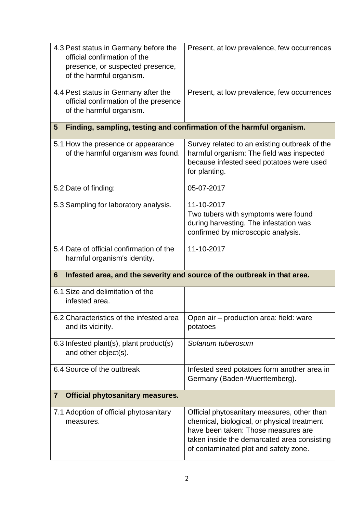| 4.3 Pest status in Germany before the<br>official confirmation of the<br>presence, or suspected presence,<br>of the harmful organism. | Present, at low prevalence, few occurrences                                                                                                                                                                               |  |
|---------------------------------------------------------------------------------------------------------------------------------------|---------------------------------------------------------------------------------------------------------------------------------------------------------------------------------------------------------------------------|--|
| 4.4 Pest status in Germany after the<br>official confirmation of the presence<br>of the harmful organism.                             | Present, at low prevalence, few occurrences                                                                                                                                                                               |  |
| Finding, sampling, testing and confirmation of the harmful organism.<br>$5\overline{)}$                                               |                                                                                                                                                                                                                           |  |
| 5.1 How the presence or appearance<br>of the harmful organism was found.                                                              | Survey related to an existing outbreak of the<br>harmful organism: The field was inspected<br>because infested seed potatoes were used<br>for planting.                                                                   |  |
| 5.2 Date of finding:                                                                                                                  | 05-07-2017                                                                                                                                                                                                                |  |
| 5.3 Sampling for laboratory analysis.                                                                                                 | 11-10-2017<br>Two tubers with symptoms were found<br>during harvesting. The infestation was<br>confirmed by microscopic analysis.                                                                                         |  |
| 5.4 Date of official confirmation of the<br>harmful organism's identity.                                                              | 11-10-2017                                                                                                                                                                                                                |  |
| Infested area, and the severity and source of the outbreak in that area.<br>6                                                         |                                                                                                                                                                                                                           |  |
| 6.1 Size and delimitation of the<br>infested area.                                                                                    |                                                                                                                                                                                                                           |  |
| 6.2 Characteristics of the infested area<br>and its vicinity.                                                                         | Open air - production area: field: ware<br>potatoes                                                                                                                                                                       |  |
| 6.3 Infested plant(s), plant product(s)<br>and other object(s).                                                                       | Solanum tuberosum                                                                                                                                                                                                         |  |
| 6.4 Source of the outbreak                                                                                                            | Infested seed potatoes form another area in<br>Germany (Baden-Wuerttemberg).                                                                                                                                              |  |
| <b>Official phytosanitary measures.</b><br>$\overline{7}$                                                                             |                                                                                                                                                                                                                           |  |
| 7.1 Adoption of official phytosanitary<br>measures.                                                                                   | Official phytosanitary measures, other than<br>chemical, biological, or physical treatment<br>have been taken: Those measures are<br>taken inside the demarcated area consisting<br>of contaminated plot and safety zone. |  |